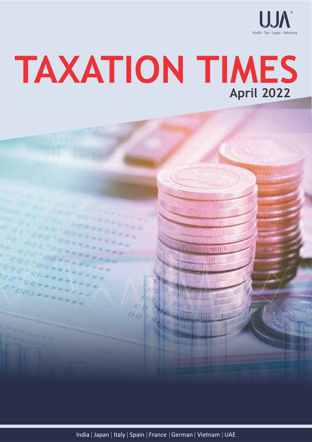UJ/ Audit · Tax · Legal · Advisory

# **TAXATION TIMES April 2022**

India | Japan | Italy | Spain | France | German | Vietnam | UAE

ш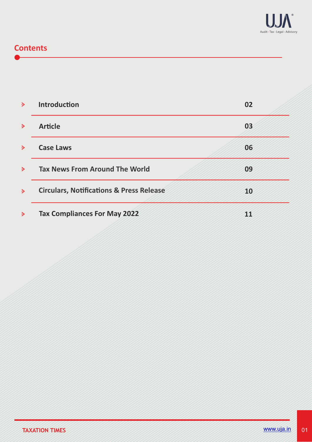

# **Contents**

| $\geq$               | <b>Introduction</b>                                 | 02 |
|----------------------|-----------------------------------------------------|----|
| $\geq$               | <b>Article</b>                                      | 03 |
| $\geq$               | <b>Case Laws</b>                                    | 06 |
| $\triangleright$     | <b>Tax News From Around The World</b>               | 09 |
| $\triangleright$     | <b>Circulars, Notifications &amp; Press Release</b> | 10 |
| $\ddot{\phantom{1}}$ | <b>Tax Compliances For May 2022</b>                 | 11 |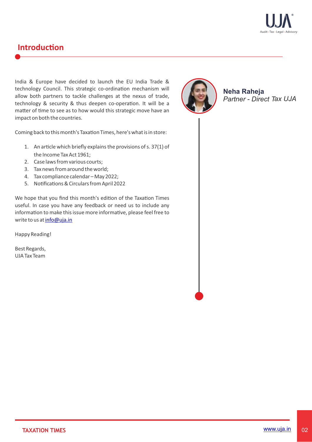

# **Introduction**

India & Europe have decided to launch the EU India Trade & technology Council. This strategic co-ordination mechanism will allow both partners to tackle challenges at the nexus of trade, technology & security & thus deepen co-operation. It will be a matter of time to see as to how would this strategic move have an impact on both the countries.

Coming back to this month's Taxation Times, here's what is in store:

- 1. An article which briefly explains the provisions of  $s. 37(1)$  of the Income Tax Act 1961;
- 2. Case laws from various courts;
- 3. Tax news from around the world;
- 4. Tax compliance calendar May 2022;
- 5. Notifications & Circulars from April 2022

We hope that you find this month's edition of the Taxation Times useful. In case you have any feedback or need us to include any information to make this issue more informative, please feel free to write to us at info@uja.in

Happy Reading!

Best Regards, UJA Tax Team



**Neha Raheja** *Partner - Direct Tax UJA*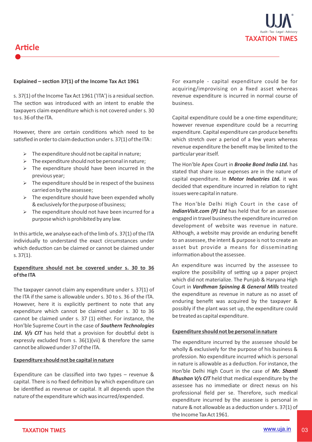

# **Article**

#### Explained – section 37(1) of the Income Tax Act 1961

s.  $37(1)$  of the Income Tax Act 1961 ('ITA') is a residual section. The section was introduced with an intent to enable the taxpayers claim expenditure which is not covered under s. 30 to s. 36 of the ITA.

However, there are certain conditions which need to be satisfied in order to claim deduction under s. 37(1) of the ITA :

- $\triangleright$  The expenditure should not be capital in nature;
- $\triangleright$  The expenditure should not be personal in nature;
- $\triangleright$  The expenditure should have been incurred in the previous year;
- $\triangleright$  The expenditure should be in respect of the business carried on by the assessee;
- $\triangleright$  The expenditure should have been expended wholly & exclusively for the purpose of business;
- $\triangleright$  The expenditure should not have been incurred for a purpose which is prohibited by any law.

In this article, we analyse each of the limb of  $s. 37(1)$  of the ITA individually to understand the exact circumstances under which deduction can be claimed or cannot be claimed under s. 37(1).

# **Expenditure should not be covered under s. 30 to 36 of the ITA**

The taxpayer cannot claim any expenditure under s. 37(1) of the ITA if the same is allowable under s. 30 to s. 36 of the ITA. However, here it is explicitly pertinent to note that any expenditure which cannot be claimed under s. 30 to 36 cannot be claimed under s. 37 (1) either. For instance, the Hon'ble Supreme Court in the case of *Southern Technologies*  **Ltd. V/s CIT** has held that a provision for doubtful debt is expressly excluded from s. 36(1)(vii) & therefore the same cannot be allowed under 37 of the ITA.

# **Expenditure should not be capital in nature**

Expenditure can be classified into two types – revenue & capital. There is no fixed definition by which expenditure can be idenfied as revenue or capital. It all depends upon the nature of the expenditure which was incurred/expended.

For example - capital expenditure could be for acquiring/improvising on a fixed asset whereas revenue expenditure is incurred in normal course of business.

Capital expenditure could be a one-time expenditure; however revenue expenditure could be a recurring expenditure. Capital expenditure can produce benefits which stretch over a period of a few years whereas revenue expenditure the benefit may be limited to the particular year itself.

The Hon'ble Apex Court in *Brooke Bond India Ltd.* has stated that share issue expenses are in the nature of capital expenditure. In *Motor Industries Ltd.* it was decided that expenditure incurred in relation to right issues were capital in nature.

The Hon'ble Delhi High Court in the case of *IndianVisit.com (P) Ltd* has held that for an assessee engaged in travel business the expenditure incurred on development of website was revenue in nature. Although, a website may provide an enduring benefit to an assessee, the intent & purpose is not to create an asset but provide a means for disseminating information about the assessee.

An expenditure was incurred by the assessee to explore the possibility of setting up a paper project which did not materialize. The Punjab & Haryana High Court in *Vardhman Spinning & General Mills* treated the expenditure as revenue in nature as no asset of enduring benefit was acquired by the taxpayer & possibly if the plant was set up, the expenditure could be treated as capital expenditure.

#### **Expenditure should not be personal in nature**

The expenditure incurred by the assessee should be wholly & exclusively for the purpose of his business & profession. No expenditure incurred which is personal in nature is allowable as a deduction. For instance, the Hon'ble Delhi High Court in the case of Mr. Shanti *Bhushan V/s CIT* held that medical expenditure by the assessee has no immediate or direct nexus on his professional field per se. Therefore, such medical expenditure incurred by the assessee is personal in nature & not allowable as a deduction under s. 37(1) of the Income Tax Act 1961.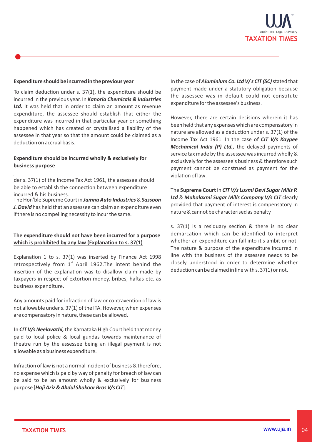

#### **Expenditure should be incurred in the previous year**

To claim deduction under s.  $37(1)$ , the expenditure should be incurred in the previous year. In *Kanoria Chemicals & Industries Ltd.* it was held that in order to claim an amount as revenue expenditure, the assessee should establish that either the expenditure was incurred in that particular year or something happened which has created or crystallised a liability of the assessee in that year so that the amount could be claimed as a deduction on accrual basis.

# **Expenditure should be incurred wholly & exclusively for business purpose**

der s. 37(1) of the Income Tax Act 1961, the assessee should be able to establish the connection between expenditure incurred & his business.

The Hon'ble Supreme Court in *Jamna Auto Industries* &*Sassoon J. David* has held that an assessee can claim an expenditure even if there is no compelling necessity to incur the same.

### **The expenditure should not have been incurred for a purpose**  which is prohibited by any law (Explanation to s. 37(1)

Explanation 1 to s.  $37(1)$  was inserted by Finance Act 1998 retrospectively from  $1<sup>st</sup>$  April 1962.The intent behind the insertion of the explanation was to disallow claim made by taxpayers in respect of extortion money, bribes, haftas etc. as business expenditure.

Any amounts paid for infraction of law or contravention of law is not allowable under s. 37(1) of the ITA. However, when expenses are compensatory in nature, these can be allowed.

In *CIT V/s Neelavathi,* the Karnataka High Court held that money paid to local police & local gundas towards maintenance of theatre run by the assessee being an illegal payment is not allowable as a business expenditure.

Infraction of law is not a normal incident of business  $\&$  therefore, no expense which is paid by way of penalty for breach of law can be said to be an amount wholly & exclusively for business purpose [*Haji Aziz & Abdul Shakoor Bros V/s CIT*].

In the case of *Aluminium Co. Ltd V/ s CIT (SC)* stated that payment made under a statutory obligation because the assessee was in default could not constute expenditure for the assessee's business.

However, there are certain decisions wherein it has been held that any expenses which are compensatory in nature are allowed as a deduction under s.  $37(1)$  of the Income Tax Act 1961. In the case of *CIT V/s Kaypee Mechanical India (P) Ltd.,* the delayed payments of service tax made by the assessee was incurred wholly & exclusively for the assessee's business & therefore such payment cannot be construed as payment for the violation of law.

The **Supreme Court** in *CIT V/s Luxmi Devi Sugar Mills P. Ltd* & *Mahalaxmi Sugar Mills Company V/s CIT* clearly provided that payment of interest is compensatory in nature & cannot be characterised as penalty

s.  $37(1)$  is a residuary section & there is no clear demarcation which can be identified to interpret whether an expenditure can fall into it's ambit or not. The nature & purpose of the expenditure incurred in line with the business of the assessee needs to be closely understood in order to determine whether deduction can be claimed in line with  $s. 37(1)$  or not.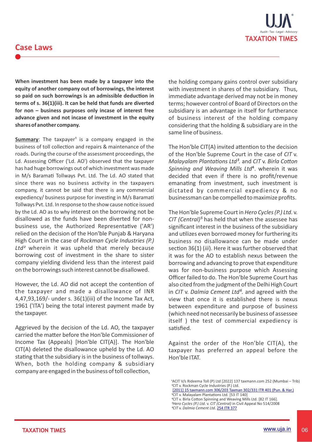# **Case Laws**



**When investment has been made by a taxpayer into the equity of another company out of borrowings, the interest**  so paid on such borrowings is an admissible deduction in **terms of s. 36(1)(iii). It can be held that funds are diverted for non – business purposes only incase of interest free advance given and not incase of investment in the equity shares of another company.** 

**Summary**: The taxpayer<sup>1</sup> is a company engaged in the business of toll collection and repairs & maintenance of the roads. During the course of the assessment proceedings, the Ld. Assessing Officer ('Ld. AO') observed that the taxpayer has had huge borrowings out of which investment was made in M/s Baramati Tollways Pvt. Ltd. The Ld. AO stated that since there was no business activity in the taxpayers company, it cannot be said that there is any commercial expediency/ business purpose for investing in M/s Baramati Tollways Pyt. Ltd. In response to the show cause notice issued by the Ld. AO as to why interest on the borrowing not be disallowed as the funds have been diverted for nonbusiness use, the Authorized Representative ('AR') relied on the decision of the Hon'ble Punjab & Haryana High Court in the case of *Rockman Cycle Industries (P.)*  Ltd<sup>2</sup> wherein it was upheld that merely because borrowing cost of investment in the share to sister company yielding dividend less than the interest paid on the borrowings such interest cannot be disallowed.

However, the Ld. AO did not accept the contention of the taxpayer and made a disallowance of INR 4,47,93,169/- under s. 36(1)(iii) of the Income Tax Act, 1961 ('ITA') being the total interest payment made by the taxpayer.

Aggrieved by the decision of the Ld. AO, the taxpayer carried the matter before the Hon'ble Commissioner of Income Tax (Appeals) [Hon'ble CIT(A)]. The Hon'ble CIT(A) deleted the disallowance upheld by the Ld. AO stating that the subsidiary is in the business of tollways. When, both the holding company & subsidiary company are engaged in the business of toll collection,

the holding company gains control over subsidiary with investment in shares of the subsidiary. Thus, immediate advantage derived may not be in money terms; however control of Board of Directors on the subsidiary is an advantage in itself for furtherance of business interest of the holding company considering that the holding & subsidiary are in the same line of business.

The Hon'ble CIT(A) invited attention to the decision of the Hon'ble Supreme Court in the case of *CIT* v. *Malayalam Plantations Ltd<sup>3</sup>.* and *CIT* v. *Birla Cotton* Spinning and Weaving Mills Ltd<sup>4</sup>. wherein it was decided that even if there is no profit/revenue emanating from investment, such investment is dictated by commercial expediency & no businessman can be compelled to maximize profits.

The Hon'ble Supreme Court in *Hero Cycles (P.) Ltd.* v. *CIT (Central)⁵* has held that when the assessee has significant interest in the business of the subsidiary and utilizes even borrowed money for furthering its business no disallowance can be made under section 36(1) (*iii*). Here it was further observed that it was for the AO to establish nexus between the borrowing and advancing to prove that expenditure was for non-business purpose which Assessing Officer failed to do. The Hon'ble Supreme Court has also cited from the judgment of the Delhi High Court in *CIT* v. *Dalmia Cement Ltd<sup>6</sup>*. and agreed with the view that once it is established there is nexus between expenditure and purpose of business (which need not necessarily be business of assessee itself ) the test of commercial expediency is satisfied.

Against the order of the Hon'ble CIT(A), the taxpayer has preferred an appeal before the Hon'ble ITAT.

ACIT V/s Rideema Toll (P) Ltd [2022] 137 taxmann.com 252 (Mumbai – Trib) CIT v. Rockman Cycle Industries (P.) Ltd.

<sup>[2011] 15</sup> taxmann.com 306/203 Taxman 302/331 ITR 401 (Pun. & Har.) <sup>3</sup>CIT v. Malayalam Plantations Ltd. [53 IT 140]

<sup>&</sup>lt;sup>4</sup>CIT v. Birla Cotton Spinning and Weaving Mills Ltd. [82 IT 166].  *Hero Cycles (P.) Ltd.* v. *CIT (Central)* in Civil Appeal No 514/2008 *CIT* v. *Dalmia Cement Ltd.* 254 ITR 377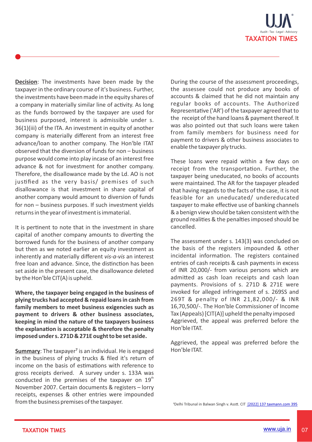

**Decision**: The investments have been made by the taxpayer in the ordinary course of it's business. Further, the investments have been made in the equity shares of a company in materially similar line of activity. As long as the funds borrowed by the taxpayer are used for business purposed, interest is admissible under s. 36(1)(iii) of the ITA. An investment in equity of another company is materially different from an interest free advance/loan to another company. The Hon'ble ITAT observed that the diversion of funds for non – business purpose would come into play incase of an interest free advance & not for investment for another company. Therefore, the disallowance made by the Ld. AO is not justified as the very basis/ premises of such disallowance is that investment in share capital of another company would amount to diversion of funds for non – business purposes. If such investment yields returns in the year of investment is immaterial.

It is pertinent to note that in the investment in share capital of another company amounts to diverting the borrowed funds for the business of another company but then as we noted earlier an equity investment as inherently and materially different *vis-a-vis* an interest free loan and advance. Since, the distinction has been set aside in the present case, the disallowance deleted by the Hon'ble CIT(A) is upheld.

**Where, the taxpayer being engaged in the business of plying trucks had accepted & repaid loans in cash from family members to meet business exigencies such as payment to drivers & other business associates, keeping in mind the nature of the taxpayers business**  the explanation is acceptable & therefore the penalty **imposed under s. 271D & 271E ought to be set aside.** 

**Summary:** The taxpayer<sup>7</sup> is an individual. He is engaged in the business of plying trucks & filed it's return of income on the basis of estimations with reference to gross receipts derived. A survey under s. 133A was conducted in the premises of the taxpayer on  $19<sup>th</sup>$ November 2007. Certain documents & registers – lorry receipts, expenses & other entries were impounded from the business premises of the taxpayer.

During the course of the assessment proceedings, the assessee could not produce any books of accounts & claimed that he did not maintain any regular books of accounts. The Authorized Representative ('AR') of the taxpayer agreed that to the receipt of the hand loans & payment thereof. It was also pointed out that such loans were taken from family members for business need for payment to drivers & other business associates to enable the taxpayer ply trucks.

These loans were repaid within a few days on receipt from the transportation. Further, the taxpayer being uneducated, no books of accounts were maintained. The AR for the taxpayer pleaded that having regards to the facts of the case, it is not feasible for an uneducated/ undereducated taxpayer to make effective use of banking channels & a benign view should be taken consistent with the ground realities & the penalties imposed should be cancelled.

Aggrieved, the appeal was preferred before the Hon'ble ITAT. The assessment under s. 143(3) was concluded on the basis of the registers impounded & other incidental information. The registers contained entries of cash receipts & cash payments in excess of INR 20,000/- from various persons which are admitted as cash loan receipts and cash loan payments. Provisions of s. 271D & 271E were invoked for alleged infringement of s. 269SS and 269T & penalty of INR 21,82,000/- & INR 16,70,500/-. The Hon'ble Commissioner of Income Tax (Appeals) [CIT(A)] upheld the penalty imposed

Aggrieved, the appeal was preferred before the Hon'ble ITAT.

<sup>7</sup>Delhi Tribunal in Balwan Singh v. Asstt. CIT [2022] 137 taxmann.com 395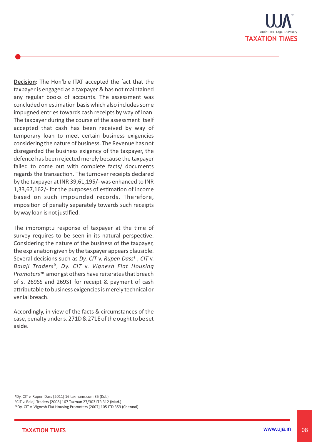

**Decision:** The Hon'ble ITAT accepted the fact that the taxpayer is engaged as a taxpayer & has not maintained any regular books of accounts. The assessment was concluded on estimation basis which also includes some impugned entries towards cash receipts by way of loan. The taxpayer during the course of the assessment itself accepted that cash has been received by way of temporary loan to meet certain business exigencies considering the nature of business. The Revenue has not disregarded the business exigency of the taxpayer, the defence has been rejected merely because the taxpayer failed to come out with complete facts/ documents regards the transaction. The turnover receipts declared by the taxpayer at INR 39,61,195/- was enhanced to INR  $1,33,67,162/$ - for the purposes of estimation of income based on such impounded records. Therefore, imposition of penalty separately towards such receipts by way loan is not jusfied.

The impromptu response of taxpayer at the time of survey requires to be seen in its natural perspective. Considering the nature of the business of the taxpayer, the explanation given by the taxpayer appears plausible. Several decisions such as *Dy. CIT* v. *Rupen Dass* , *CIT* v. *Balaji Traders*⁹, *Dy. CIT* v. *Vignesh Flat Housing Promoters<sup>10</sup>* amongst others have reiterates that breach of s. 269SS and 269ST for receipt & payment of cash attributable to business exigencies is merely technical or venial breach.

Accordingly, in view of the facts & circumstances of the case, penalty under s. 271D & 271E of the ought to be set aside.

 Dy. CIT v. Rupen Dass [2011] 16 taxmann.com 35 (Kol.) CIT v. Balaji Traders [2008] 167 Taxman 27/303 ITR 312 (Mad.) <sup>10</sup>Dy. CIT v. Vignesh Flat Housing Promoters [2007] 105 ITD 359 (Chennai)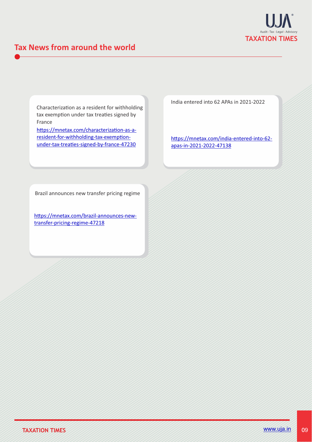

# **Tax News from around the world**

Characterization as a resident for withholding tax exemption under tax treaties signed by [France](https://mnetax.com/brazil-announces-new-transfer-pricing-regime-47218)

https://mnetax.com/characterization-as-aresident-for-withholding-tax-exemptionunder-tax-treaties-signed-by-france-47230

India entered into 62 APAs in 2021-2022

https://mnetax.com/india-entered-into-62[apas-in-2021-2022-47138](https://mnetax.com/characterization-as-a-resident-for-withholding-tax-exemption-under-tax-treaties-signed-by-france-47230)

Brazil announces new transfer pricing regime

https://mnetax.com/brazil-announces-new[transfer-pricing-regime-47218](https://uja.in/)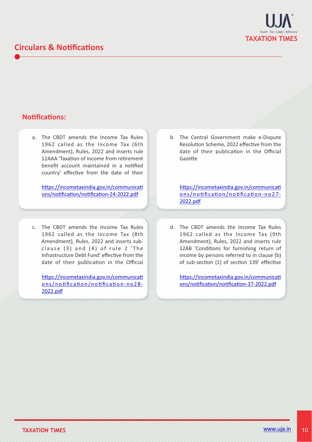

# **Circulars & Notifications**

# **Notifications:**

a. The CBDT amends the Income Tax Rules 1962 called as the Income Tax (6th Amendment), Rules, 2022 and inserts rule 12AAA 'Taxation of income from retirement benefit account maintained in a notified country' effective from the date of their

https://incometaxindia.gov.in/communicati ons/notification/notification-24-2022.pdf

c. The CBDT amends the Income Tax Rules 1962 called as the Income Tax (8th Amendment), Rules, 2022 and inserts subclause  $(3)$  and  $(4)$  of rule 2 'The Infrastructure Debt Fund' effective from the date of their publication in the Official

https://incometaxindia.gov.in/communicati ons/notification/notification-no28-[2022.pdf](https://incometaxindia.gov.in/communications/notification/notification-no27-2022.pdf)

b. The Central Government make e-Dispute Resolution Scheme, 2022 effective from the date of their publication in the Official Gazette

https://incometaxindia.gov.in/communicati ons/notification/notification-no27-[2022.pdf](https://incometaxindia.gov.in/communications/notification/notification-no28-2022.pdf)

d. The CBDT amends the Income Tax Rules 1962 called as the Income Tax (9th Amendment), Rules, 2022 and inserts rule 12AB 'Conditions for furnishing return of income by persons referred to in clause (b) of sub-section (1) of section 139' effective

https://incometaxindia.gov.in/communicati ons/notification/notification-37-2022.pdf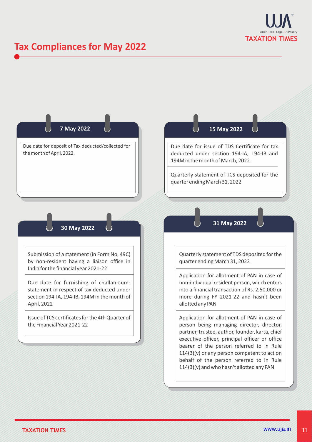

# **Tax Compliances for May 2022**